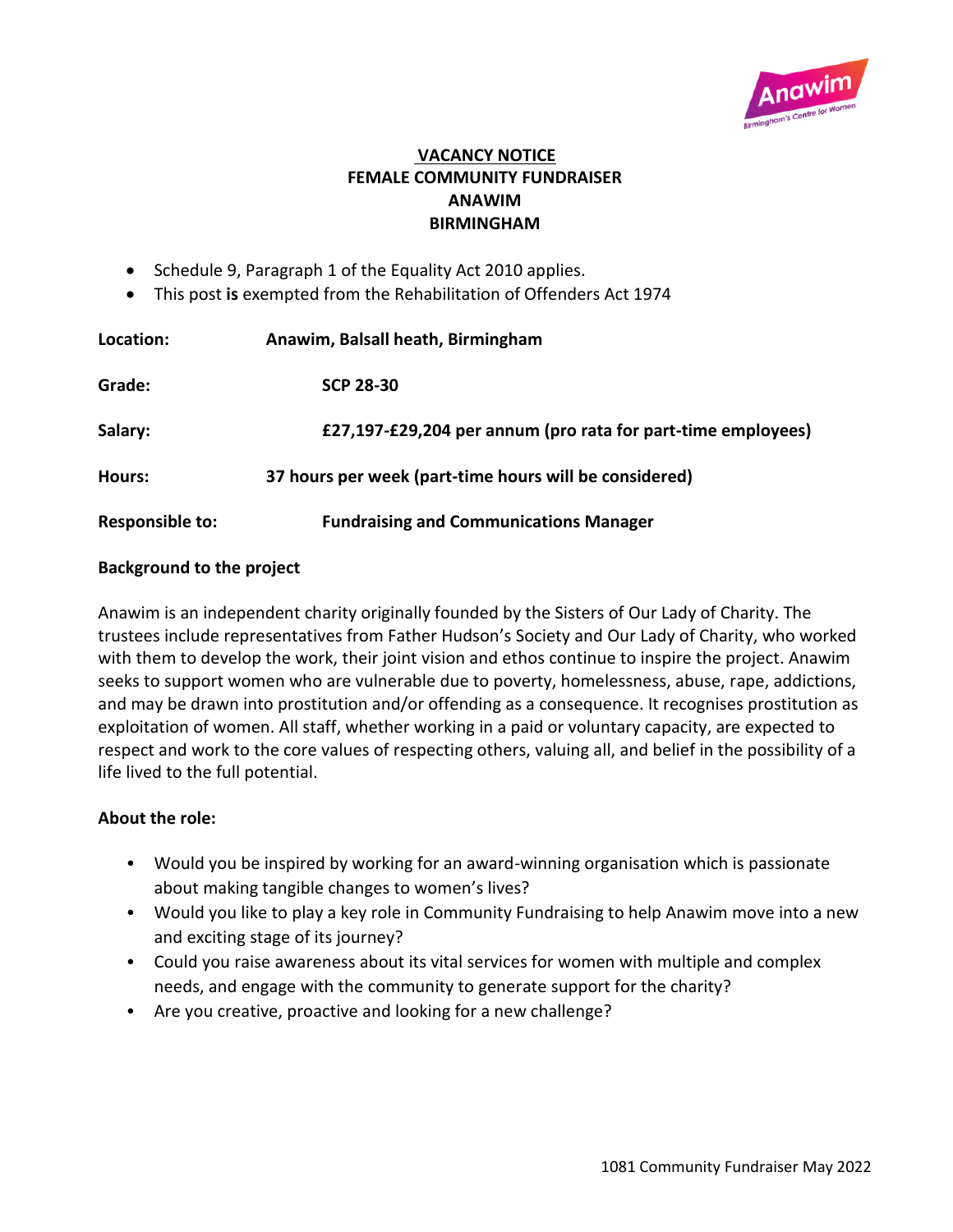

## **VACANCY NOTICE FEMALE COMMUNITY FUNDRAISER ANAWIM BIRMINGHAM**

- Schedule 9, Paragraph 1 of the Equality Act 2010 applies.
- This post **is** exempted from the Rehabilitation of Offenders Act 1974

| Location:              | Anawim, Balsall heath, Birmingham                            |
|------------------------|--------------------------------------------------------------|
| Grade:                 | <b>SCP 28-30</b>                                             |
| Salary:                | £27,197-£29,204 per annum (pro rata for part-time employees) |
| Hours:                 | 37 hours per week (part-time hours will be considered)       |
| <b>Responsible to:</b> | <b>Fundraising and Communications Manager</b>                |

## **Background to the project**

Anawim is an independent charity originally founded by the Sisters of Our Lady of Charity. The trustees include representatives from Father Hudson's Society and Our Lady of Charity, who worked with them to develop the work, their joint vision and ethos continue to inspire the project. Anawim seeks to support women who are vulnerable due to poverty, homelessness, abuse, rape, addictions, and may be drawn into prostitution and/or offending as a consequence. It recognises prostitution as exploitation of women. All staff, whether working in a paid or voluntary capacity, are expected to respect and work to the core values of respecting others, valuing all, and belief in the possibility of a life lived to the full potential.

## **About the role:**

- Would you be inspired by working for an award-winning organisation which is passionate about making tangible changes to women's lives?
- Would you like to play a key role in Community Fundraising to help Anawim move into a new and exciting stage of its journey?
- Could you raise awareness about its vital services for women with multiple and complex needs, and engage with the community to generate support for the charity?
- Are you creative, proactive and looking for a new challenge?